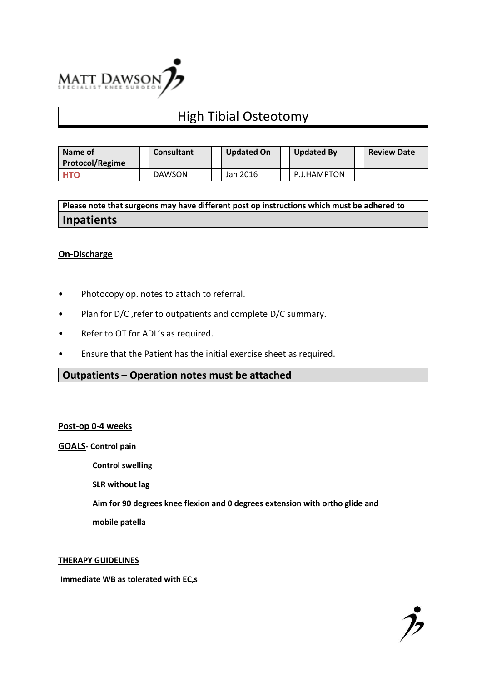

# High Tibial Osteotomy

| Name of<br><b>Protocol/Regime</b> | <b>Consultant</b> | <b>Updated On</b> | <b>Updated By</b> | <b>Review Date</b> |
|-----------------------------------|-------------------|-------------------|-------------------|--------------------|
| <b>HTO</b>                        | <b>DAWSON</b>     | Jan 2016          | P.J.HAMPTON       |                    |

**Please note that surgeons may have different post op instructions which must be adhered to Inpatients**

## **On-Discharge**

- Photocopy op. notes to attach to referral.
- Plan for D/C ,refer to outpatients and complete D/C summary.
- Refer to OT for ADL's as required.
- Ensure that the Patient has the initial exercise sheet as required.

## **Outpatients – Operation notes must be attached**

#### **Post-op 0-4 weeks**

**GOALS- Control pain**

 **Control swelling**

 **SLR without lag**

 **Aim for 90 degrees knee flexion and 0 degrees extension with ortho glide and** 

 **mobile patella** 

#### **THERAPY GUIDELINES**

**Immediate WB as tolerated with EC,s**

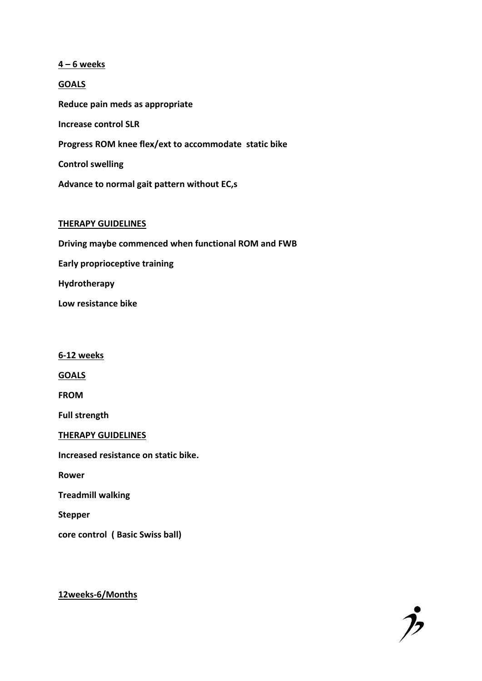**4 – 6 weeks**

**GOALS Reduce pain meds as appropriate Increase control SLR Progress ROM knee flex/ext to accommodate static bike Control swelling Advance to normal gait pattern without EC,s**

#### **THERAPY GUIDELINES**

**Driving maybe commenced when functional ROM and FWB Early proprioceptive training Hydrotherapy Low resistance bike**

**6-12 weeks**

**GOALS**

**FROM**

**Full strength**

**THERAPY GUIDELINES**

**Increased resistance on static bike.**

**Rower**

**Treadmill walking**

**Stepper**

**core control ( Basic Swiss ball)**

**12weeks-6/Months**